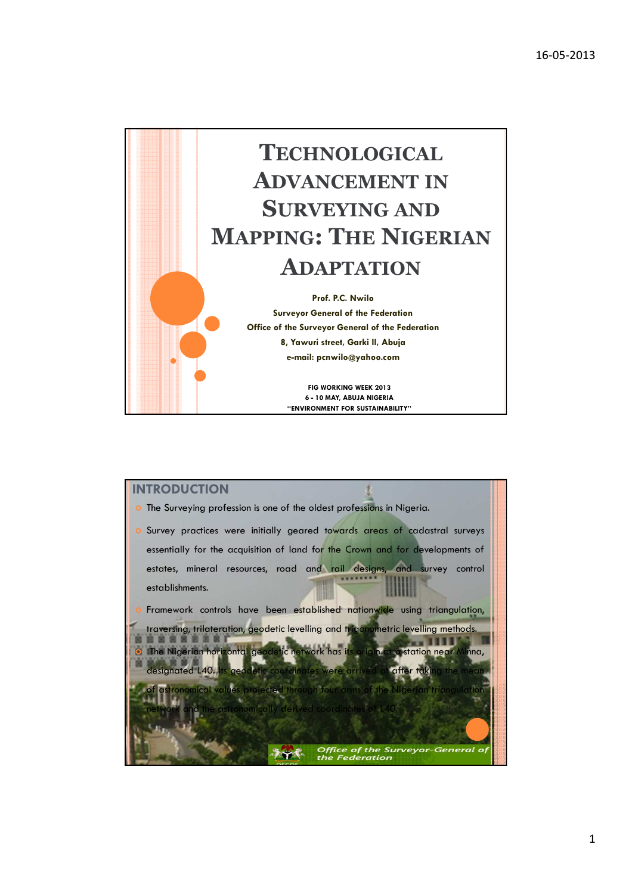

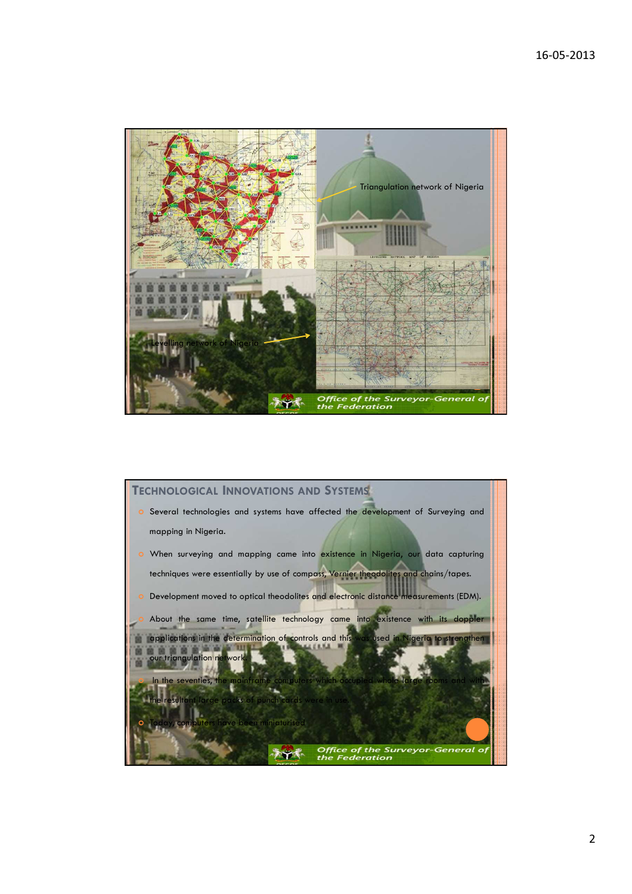

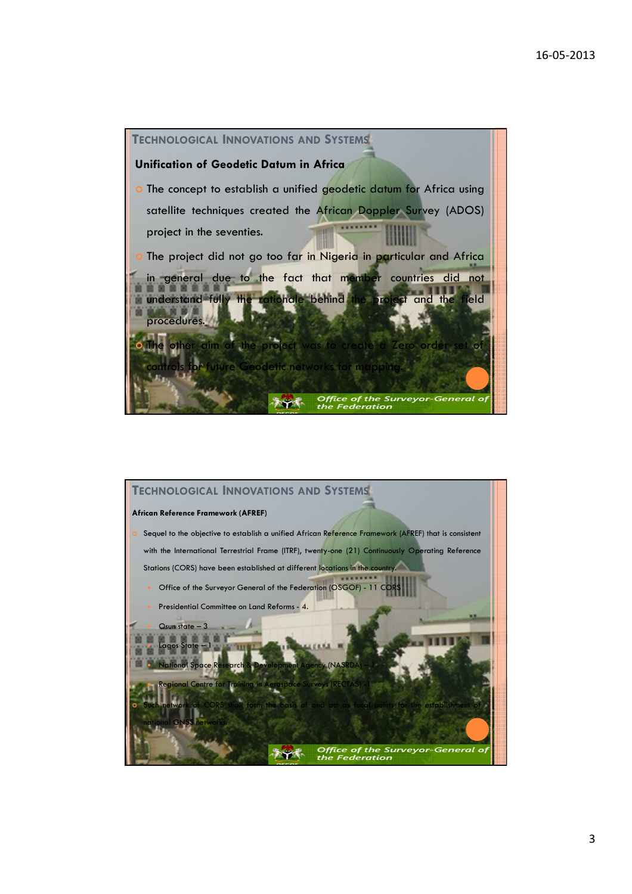

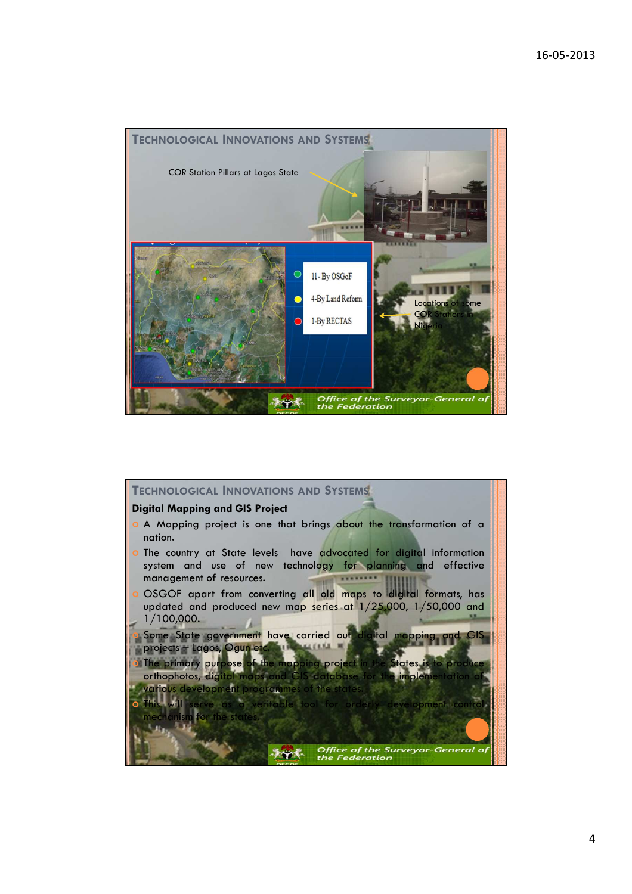

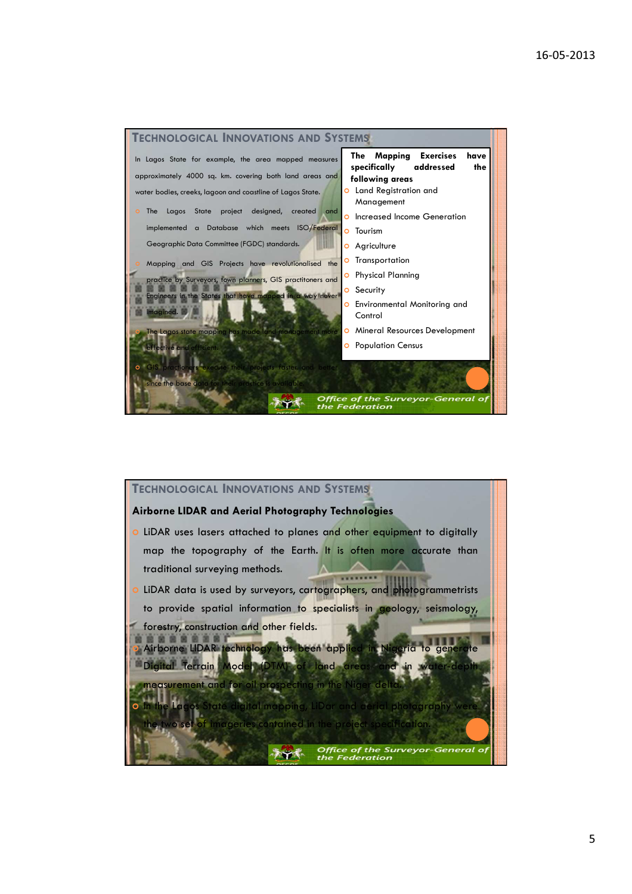



5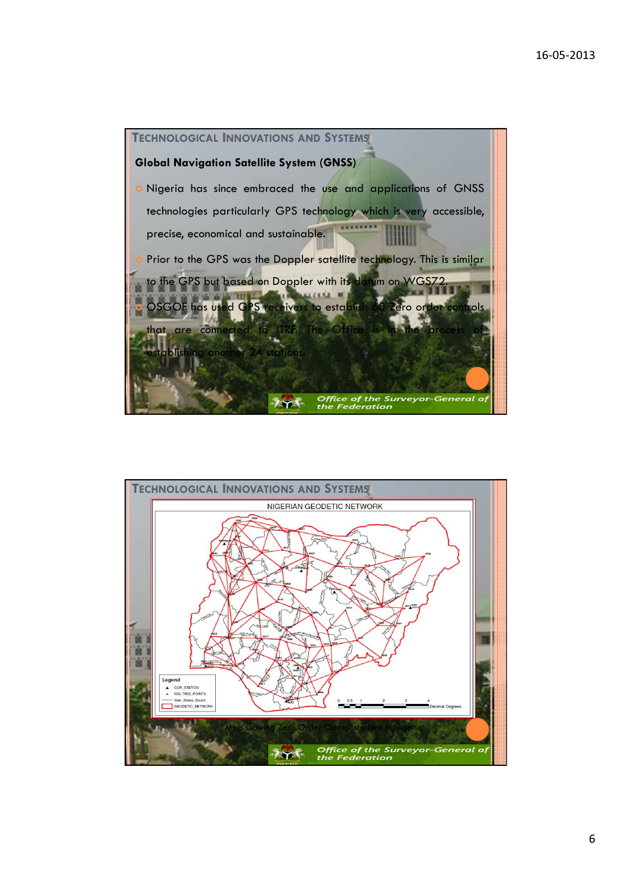

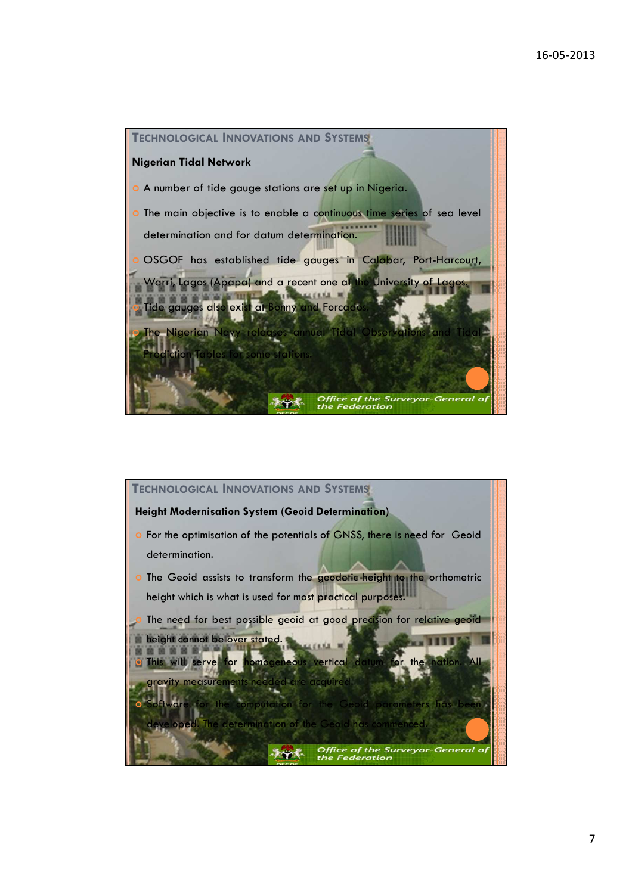

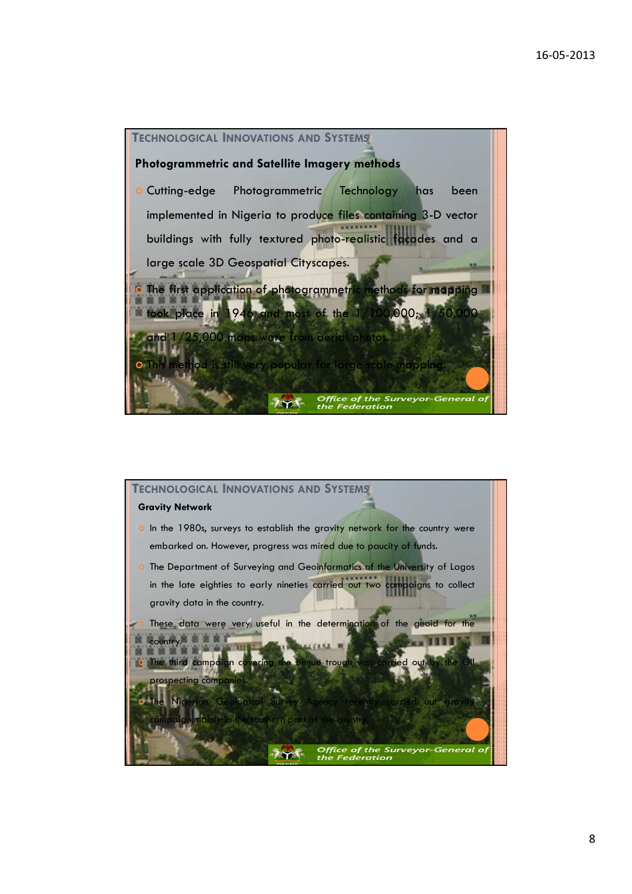

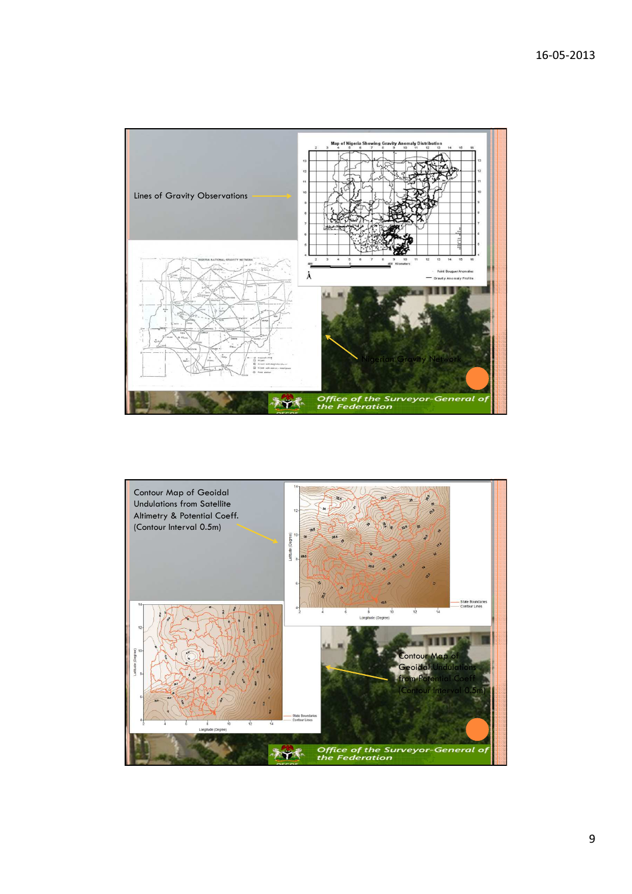

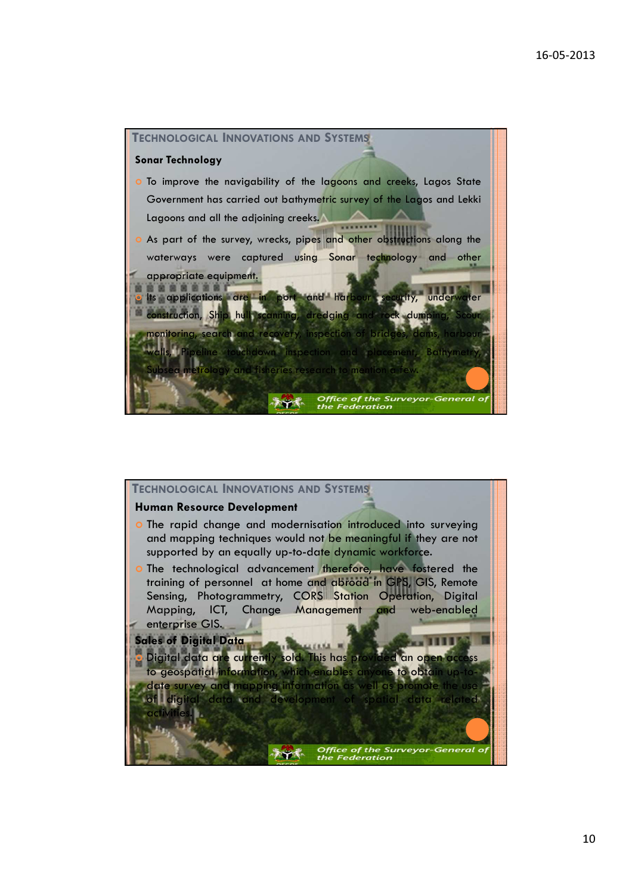

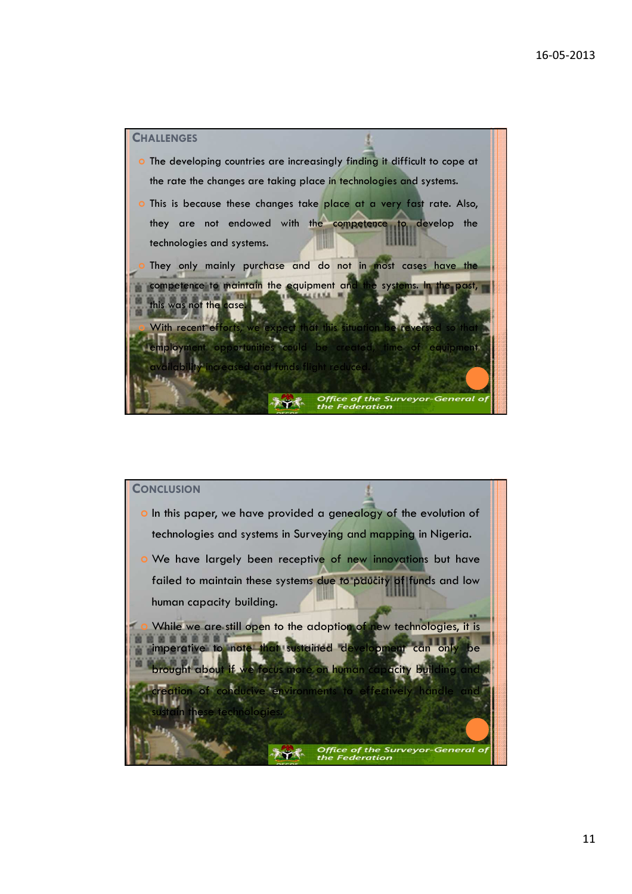